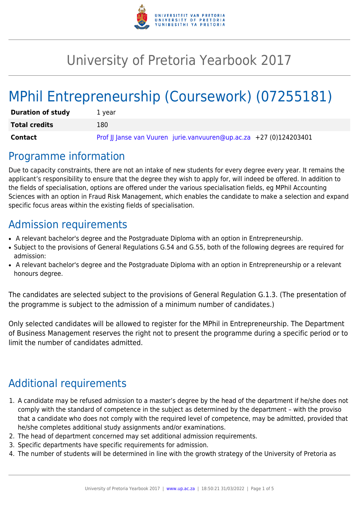

# University of Pretoria Yearbook 2017

# MPhil Entrepreneurship (Coursework) (07255181)

| <b>Duration of study</b> | 1 vear                                                             |
|--------------------------|--------------------------------------------------------------------|
| <b>Total credits</b>     | 180                                                                |
| Contact                  | Prof JJ Janse van Vuuren jurie.vanvuuren@up.ac.za +27 (0)124203401 |

## Programme information

Due to capacity constraints, there are not an intake of new students for every degree every year. It remains the applicant's responsibility to ensure that the degree they wish to apply for, will indeed be offered. In addition to the fields of specialisation, options are offered under the various specialisation fields, eg MPhil Accounting Sciences with an option in Fraud Risk Management, which enables the candidate to make a selection and expand specific focus areas within the existing fields of specialisation.

# Admission requirements

- A relevant bachelor's degree and the Postgraduate Diploma with an option in Entrepreneurship.
- Subject to the provisions of General Regulations G.54 and G.55, both of the following degrees are required for admission:
- A relevant bachelor's degree and the Postgraduate Diploma with an option in Entrepreneurship or a relevant honours degree.

The candidates are selected subject to the provisions of General Regulation G.1.3. (The presentation of the programme is subject to the admission of a minimum number of candidates.)

Only selected candidates will be allowed to register for the MPhil in Entrepreneurship. The Department of Business Management reserves the right not to present the programme during a specific period or to limit the number of candidates admitted.

# Additional requirements

- 1. A candidate may be refused admission to a master's degree by the head of the department if he/she does not comply with the standard of competence in the subject as determined by the department – with the proviso that a candidate who does not comply with the required level of competence, may be admitted, provided that he/she completes additional study assignments and/or examinations.
- 2. The head of department concerned may set additional admission requirements.
- 3. Specific departments have specific requirements for admission.
- 4. The number of students will be determined in line with the growth strategy of the University of Pretoria as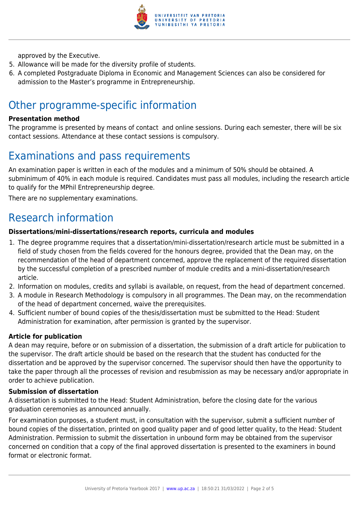

approved by the Executive.

- 5. Allowance will be made for the diversity profile of students.
- 6. A completed Postgraduate Diploma in Economic and Management Sciences can also be considered for admission to the Master's programme in Entrepreneurship.

## Other programme-specific information

#### **Presentation method**

The programme is presented by means of contact and online sessions. During each semester, there will be six contact sessions. Attendance at these contact sessions is compulsory.

## Examinations and pass requirements

An examination paper is written in each of the modules and a minimum of 50% should be obtained. A subminimum of 40% in each module is required. Candidates must pass all modules, including the research article to qualify for the MPhil Entrepreneurship degree.

There are no supplementary examinations.

## Research information

#### **Dissertations/mini-dissertations/research reports, curricula and modules**

- 1. The degree programme requires that a dissertation/mini-dissertation/research article must be submitted in a field of study chosen from the fields covered for the honours degree, provided that the Dean may, on the recommendation of the head of department concerned, approve the replacement of the required dissertation by the successful completion of a prescribed number of module credits and a mini-dissertation/research article.
- 2. Information on modules, credits and syllabi is available, on request, from the head of department concerned.
- 3. A module in Research Methodology is compulsory in all programmes. The Dean may, on the recommendation of the head of department concerned, waive the prerequisites.
- 4. Sufficient number of bound copies of the thesis/dissertation must be submitted to the Head: Student Administration for examination, after permission is granted by the supervisor.

#### **Article for publication**

A dean may require, before or on submission of a dissertation, the submission of a draft article for publication to the supervisor. The draft article should be based on the research that the student has conducted for the dissertation and be approved by the supervisor concerned. The supervisor should then have the opportunity to take the paper through all the processes of revision and resubmission as may be necessary and/or appropriate in order to achieve publication.

#### **Submission of dissertation**

A dissertation is submitted to the Head: Student Administration, before the closing date for the various graduation ceremonies as announced annually.

For examination purposes, a student must, in consultation with the supervisor, submit a sufficient number of bound copies of the dissertation, printed on good quality paper and of good letter quality, to the Head: Student Administration. Permission to submit the dissertation in unbound form may be obtained from the supervisor concerned on condition that a copy of the final approved dissertation is presented to the examiners in bound format or electronic format.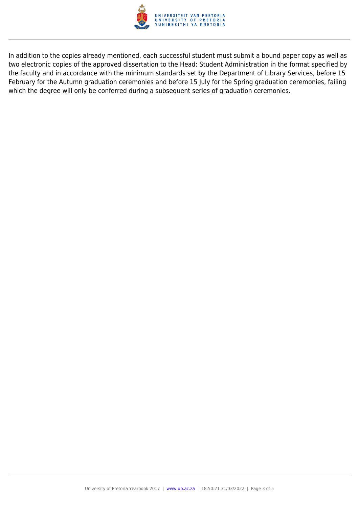

In addition to the copies already mentioned, each successful student must submit a bound paper copy as well as two electronic copies of the approved dissertation to the Head: Student Administration in the format specified by the faculty and in accordance with the minimum standards set by the Department of Library Services, before 15 February for the Autumn graduation ceremonies and before 15 July for the Spring graduation ceremonies, failing which the degree will only be conferred during a subsequent series of graduation ceremonies.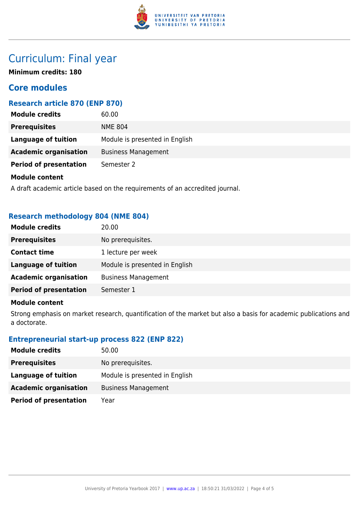

# Curriculum: Final year

**Minimum credits: 180**

### **Core modules**

### **Research article 870 (ENP 870)**

| <b>Module credits</b>         | 60.00                          |
|-------------------------------|--------------------------------|
| <b>Prerequisites</b>          | <b>NME 804</b>                 |
| Language of tuition           | Module is presented in English |
| <b>Academic organisation</b>  | <b>Business Management</b>     |
| <b>Period of presentation</b> | Semester 2                     |
| <b>Module content</b>         |                                |

A draft academic article based on the requirements of an accredited journal.

### **Research methodology 804 (NME 804)**

| <b>Module credits</b>         | 20.00                          |
|-------------------------------|--------------------------------|
| <b>Prerequisites</b>          | No prerequisites.              |
| <b>Contact time</b>           | 1 lecture per week             |
| <b>Language of tuition</b>    | Module is presented in English |
| <b>Academic organisation</b>  | <b>Business Management</b>     |
| <b>Period of presentation</b> | Semester 1                     |
|                               |                                |

#### **Module content**

Strong emphasis on market research, quantification of the market but also a basis for academic publications and a doctorate.

### **Entrepreneurial start-up process 822 (ENP 822)**

| <b>Module credits</b>         | 50.00                          |
|-------------------------------|--------------------------------|
| <b>Prerequisites</b>          | No prerequisites.              |
| Language of tuition           | Module is presented in English |
| <b>Academic organisation</b>  | <b>Business Management</b>     |
| <b>Period of presentation</b> | Year                           |